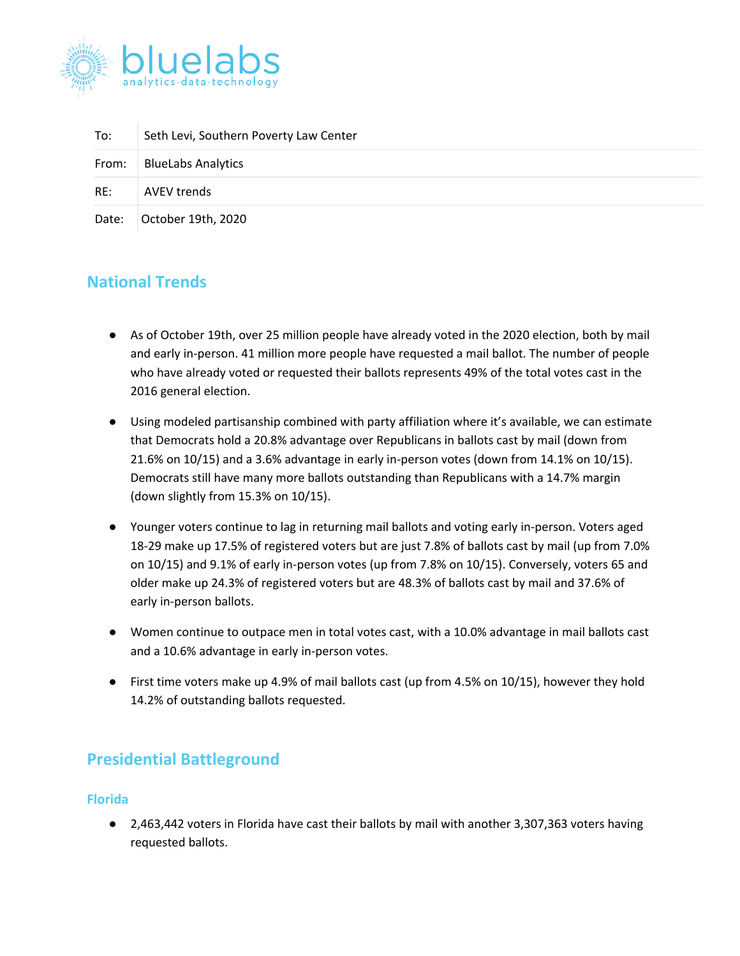

| To:   | Seth Levi, Southern Poverty Law Center |
|-------|----------------------------------------|
| From: | <b>BlueLabs Analytics</b>              |
| RE:   | AVEV trends                            |
| Date: | October 19th, 2020                     |

# **National Trends**

- As of October 19th, over 25 million people have already voted in the 2020 election, both by mail and early in-person. 41 million more people have requested a mail ballot. The number of people who have already voted or requested their ballots represents 49% of the total votes cast in the 2016 general election.
- Using modeled partisanship combined with party affiliation where it's available, we can estimate that Democrats hold a 20.8% advantage over Republicans in ballots cast by mail (down from 21.6% on 10/15) and a 3.6% advantage in early in-person votes (down from 14.1% on 10/15). Democrats still have many more ballots outstanding than Republicans with a 14.7% margin (down slightly from 15.3% on 10/15).
- Younger voters continue to lag in returning mail ballots and voting early in-person. Voters aged 18-29 make up 17.5% of registered voters but are just 7.8% of ballots cast by mail (up from 7.0% on 10/15) and 9.1% of early in-person votes (up from 7.8% on 10/15). Conversely, voters 65 and older make up 24.3% of registered voters but are 48.3% of ballots cast by mail and 37.6% of early in-person ballots.
- Women continue to outpace men in total votes cast, with a 10.0% advantage in mail ballots cast and a 10.6% advantage in early in-person votes.
- First time voters make up 4.9% of mail ballots cast (up from 4.5% on 10/15), however they hold 14.2% of outstanding ballots requested.

## **Presidential Battleground**

### **Florida**

● 2,463,442 voters in Florida have cast their ballots by mail with another 3,307,363 voters having requested ballots.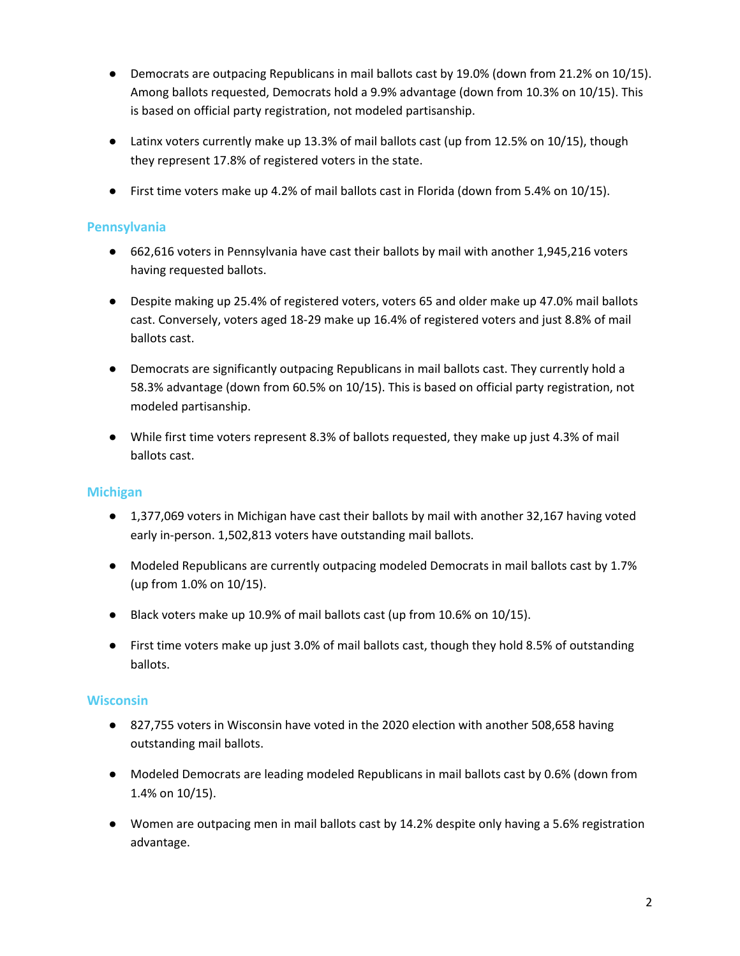- Democrats are outpacing Republicans in mail ballots cast by 19.0% (down from 21.2% on 10/15). Among ballots requested, Democrats hold a 9.9% advantage (down from 10.3% on 10/15). This is based on official party registration, not modeled partisanship.
- Latinx voters currently make up 13.3% of mail ballots cast (up from 12.5% on 10/15), though they represent 17.8% of registered voters in the state.
- First time voters make up 4.2% of mail ballots cast in Florida (down from 5.4% on 10/15).

## **Pennsylvania**

- 662,616 voters in Pennsylvania have cast their ballots by mail with another 1,945,216 voters having requested ballots.
- Despite making up 25.4% of registered voters, voters 65 and older make up 47.0% mail ballots cast. Conversely, voters aged 18-29 make up 16.4% of registered voters and just 8.8% of mail ballots cast.
- Democrats are significantly outpacing Republicans in mail ballots cast. They currently hold a 58.3% advantage (down from 60.5% on 10/15). This is based on official party registration, not modeled partisanship.
- While first time voters represent 8.3% of ballots requested, they make up just 4.3% of mail ballots cast.

### **Michigan**

- 1,377,069 voters in Michigan have cast their ballots by mail with another 32,167 having voted early in-person. 1,502,813 voters have outstanding mail ballots.
- Modeled Republicans are currently outpacing modeled Democrats in mail ballots cast by 1.7% (up from 1.0% on 10/15).
- Black voters make up 10.9% of mail ballots cast (up from 10.6% on 10/15).
- First time voters make up just 3.0% of mail ballots cast, though they hold 8.5% of outstanding ballots.

### **Wisconsin**

- 827,755 voters in Wisconsin have voted in the 2020 election with another 508,658 having outstanding mail ballots.
- Modeled Democrats are leading modeled Republicans in mail ballots cast by 0.6% (down from 1.4% on 10/15).
- Women are outpacing men in mail ballots cast by 14.2% despite only having a 5.6% registration advantage.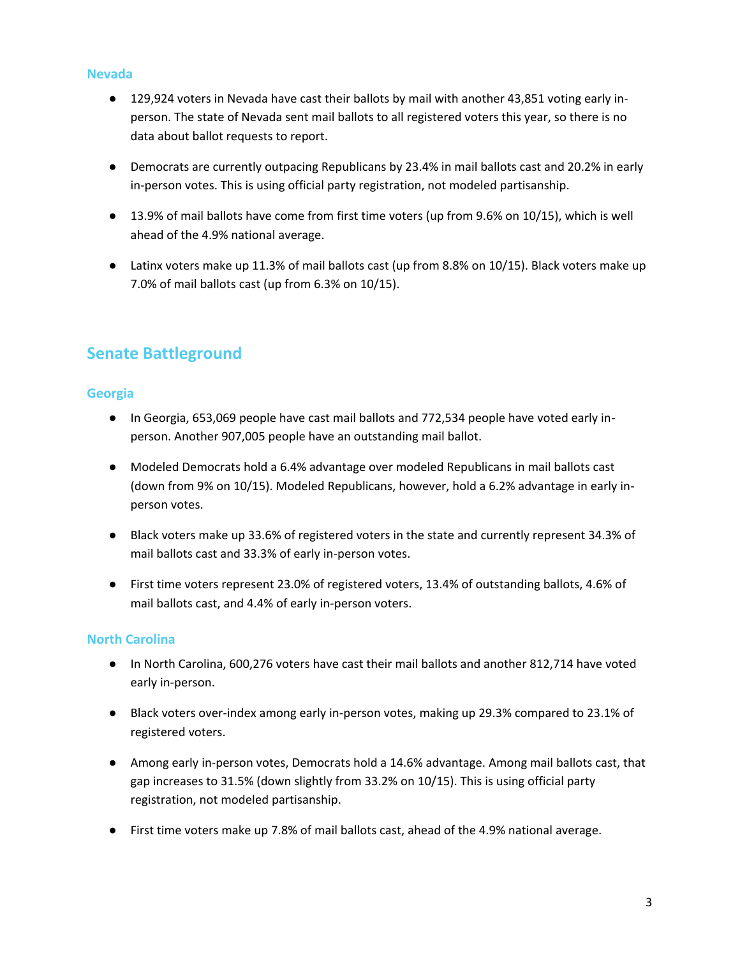### **Nevada**

- 129,924 voters in Nevada have cast their ballots by mail with another 43,851 voting early inperson. The state of Nevada sent mail ballots to all registered voters this year, so there is no data about ballot requests to report.
- Democrats are currently outpacing Republicans by 23.4% in mail ballots cast and 20.2% in early in-person votes. This is using official party registration, not modeled partisanship.
- 13.9% of mail ballots have come from first time voters (up from 9.6% on 10/15), which is well ahead of the 4.9% national average.
- Latinx voters make up 11.3% of mail ballots cast (up from 8.8% on 10/15). Black voters make up 7.0% of mail ballots cast (up from 6.3% on 10/15).

# **Senate Battleground**

### **Georgia**

- In Georgia, 653,069 people have cast mail ballots and 772,534 people have voted early inperson. Another 907,005 people have an outstanding mail ballot.
- Modeled Democrats hold a 6.4% advantage over modeled Republicans in mail ballots cast (down from 9% on 10/15). Modeled Republicans, however, hold a 6.2% advantage in early inperson votes.
- Black voters make up 33.6% of registered voters in the state and currently represent 34.3% of mail ballots cast and 33.3% of early in-person votes.
- First time voters represent 23.0% of registered voters, 13.4% of outstanding ballots, 4.6% of mail ballots cast, and 4.4% of early in-person voters.

### **North Carolina**

- In North Carolina, 600,276 voters have cast their mail ballots and another 812,714 have voted early in-person.
- Black voters over-index among early in-person votes, making up 29.3% compared to 23.1% of registered voters.
- Among early in-person votes, Democrats hold a 14.6% advantage. Among mail ballots cast, that gap increases to 31.5% (down slightly from 33.2% on 10/15). This is using official party registration, not modeled partisanship.
- First time voters make up 7.8% of mail ballots cast, ahead of the 4.9% national average.